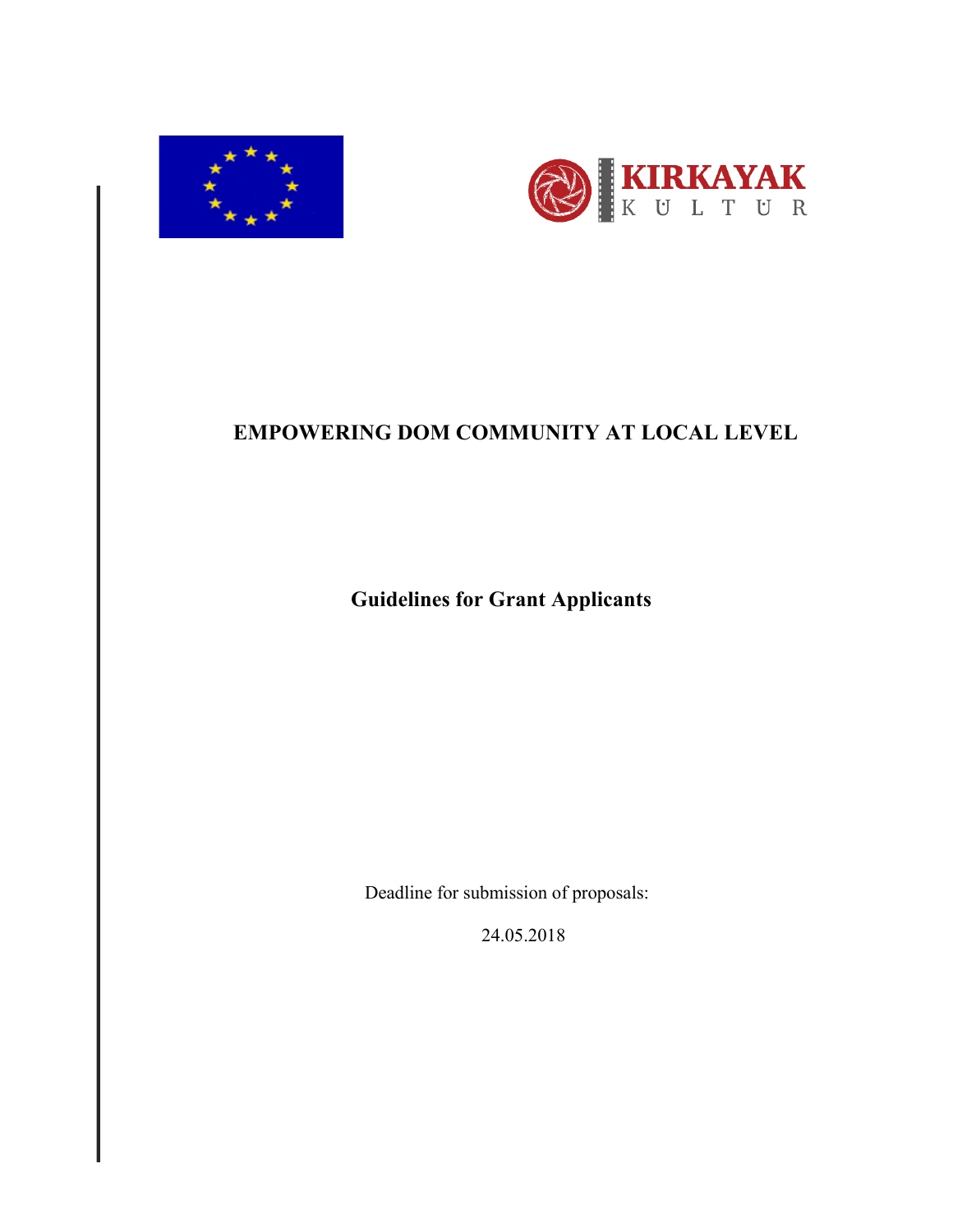



# **EMPOWERING DOM COMMUNITY AT LOCAL LEVEL**

 **Guidelines for Grant Applicants**

Deadline for submission of proposals:

24.05.2018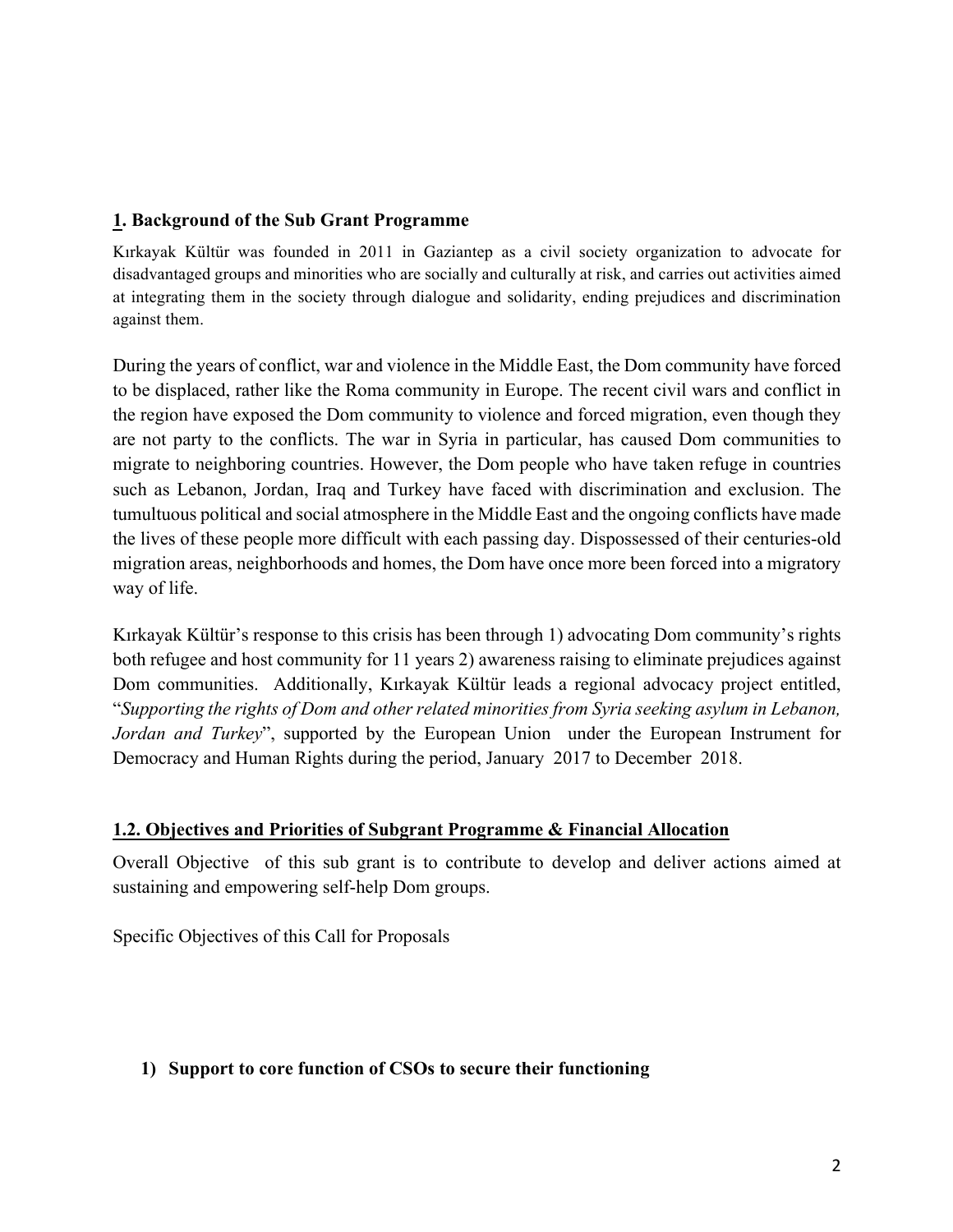#### **1. Background of the Sub Grant Programme**

Kırkayak Kültür was founded in 2011 in Gaziantep as a civil society organization to advocate for disadvantaged groups and minorities who are socially and culturally at risk, and carries out activities aimed at integrating them in the society through dialogue and solidarity, ending prejudices and discrimination against them.

During the years of conflict, war and violence in the Middle East, the Dom community have forced to be displaced, rather like the Roma community in Europe. The recent civil wars and conflict in the region have exposed the Dom community to violence and forced migration, even though they are not party to the conflicts. The war in Syria in particular, has caused Dom communities to migrate to neighboring countries. However, the Dom people who have taken refuge in countries such as Lebanon, Jordan, Iraq and Turkey have faced with discrimination and exclusion. The tumultuous political and social atmosphere in the Middle East and the ongoing conflicts have made the lives of these people more difficult with each passing day. Dispossessed of their centuries-old migration areas, neighborhoods and homes, the Dom have once more been forced into a migratory way of life.

Kırkayak Kültür's response to this crisis has been through 1) advocating Dom community's rights both refugee and host community for 11 years 2) awareness raising to eliminate prejudices against Dom communities. Additionally, Kırkayak Kültür leads a regional advocacy project entitled, "*Supporting the rights of Dom and other related minorities from Syria seeking asylum in Lebanon, Jordan and Turkey*", supported by the European Union under the European Instrument for Democracy and Human Rights during the period, January 2017 to December 2018.

#### **1.2. Objectives and Priorities of Subgrant Programme & Financial Allocation**

Overall Objective of this sub grant is to contribute to develop and deliver actions aimed at sustaining and empowering self-help Dom groups.

Specific Objectives of this Call for Proposals

#### **1) Support to core function of CSOs to secure their functioning**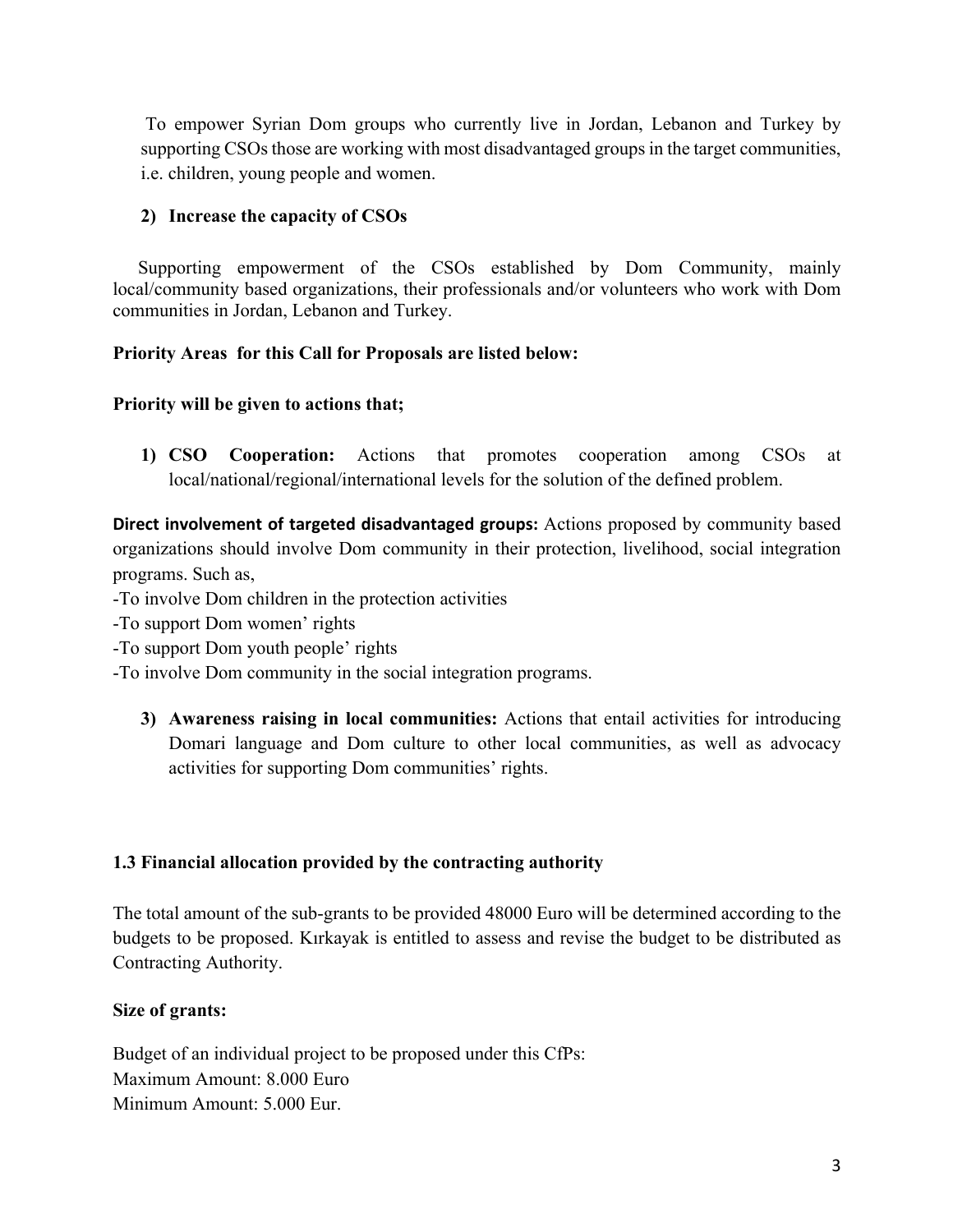To empower Syrian Dom groups who currently live in Jordan, Lebanon and Turkey by supporting CSOs those are working with most disadvantaged groups in the target communities, i.e. children, young people and women.

## **2) Increase the capacity of CSOs**

 Supporting empowerment of the CSOs established by Dom Community, mainly local/community based organizations, their professionals and/or volunteers who work with Dom communities in Jordan, Lebanon and Turkey.

## **Priority Areas for this Call for Proposals are listed below:**

## **Priority will be given to actions that;**

**1) CSO Cooperation:** Actions that promotes cooperation among CSOs at local/national/regional/international levels for the solution of the defined problem.

**Direct involvement of targeted disadvantaged groups:** Actions proposed by community based organizations should involve Dom community in their protection, livelihood, social integration programs. Such as,

-To involve Dom children in the protection activities

-To support Dom women' rights

-To support Dom youth people' rights

-To involve Dom community in the social integration programs.

**3) Awareness raising in local communities:** Actions that entail activities for introducing Domari language and Dom culture to other local communities, as well as advocacy activities for supporting Dom communities' rights.

#### **1.3 Financial allocation provided by the contracting authority**

The total amount of the sub-grants to be provided 48000 Euro will be determined according to the budgets to be proposed. Kırkayak is entitled to assess and revise the budget to be distributed as Contracting Authority.

#### **Size of grants:**

Budget of an individual project to be proposed under this CfPs: Maximum Amount: 8.000 Euro Minimum Amount: 5.000 Eur.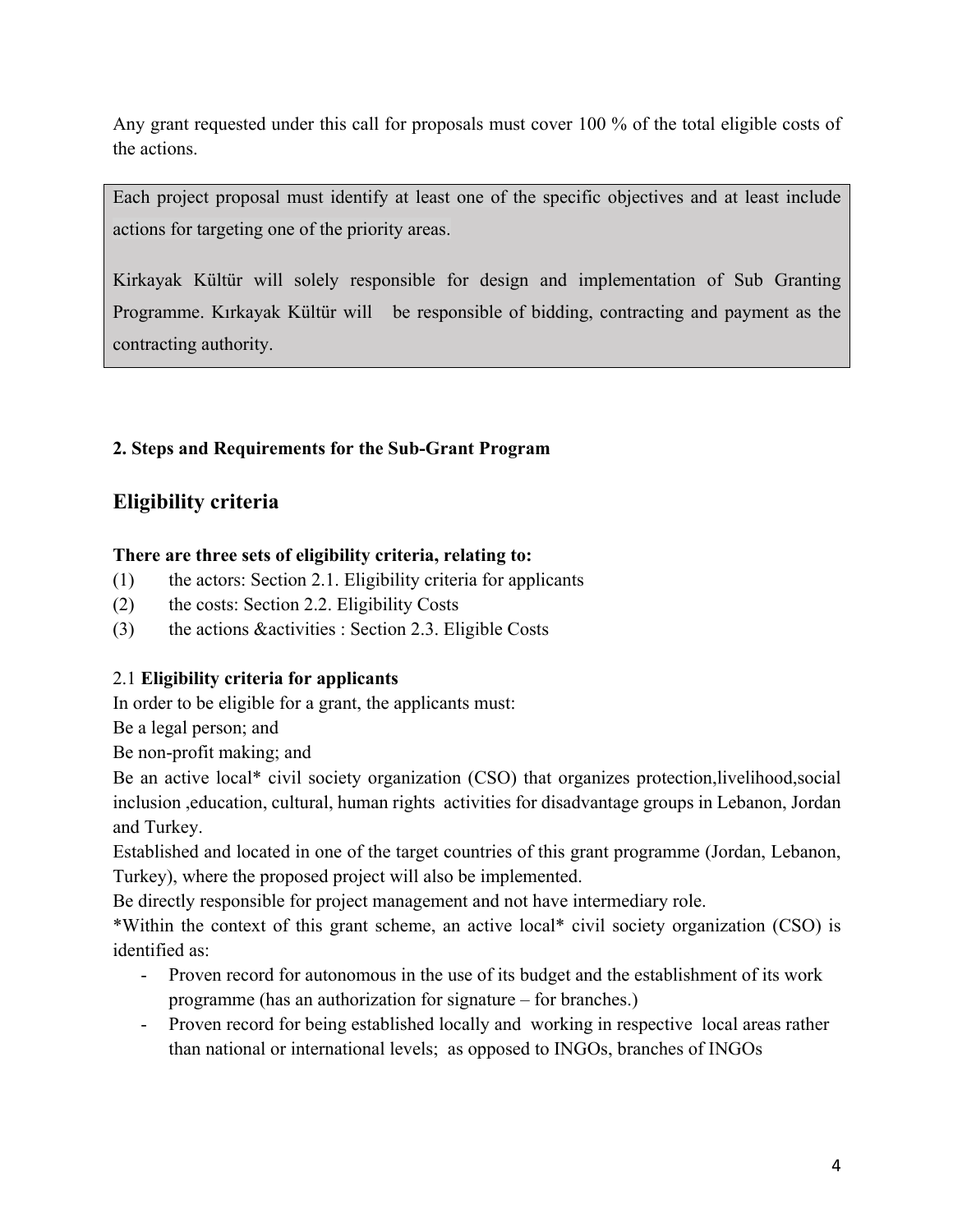Any grant requested under this call for proposals must cover 100 % of the total eligible costs of the actions.

Each project proposal must identify at least one of the specific objectives and at least include actions for targeting one of the priority areas.

Kirkayak Kültür will solely responsible for design and implementation of Sub Granting Programme. Kırkayak Kültür will be responsible of bidding, contracting and payment as the contracting authority.

## **2. Steps and Requirements for the Sub-Grant Program**

## **Eligibility criteria**

## **There are three sets of eligibility criteria, relating to:**

- (1) the actors: Section 2.1. Eligibility criteria for applicants
- (2) the costs: Section 2.2. Eligibility Costs
- (3) the actions &activities : Section 2.3. Eligible Costs

## 2.1 **Eligibility criteria for applicants**

In order to be eligible for a grant, the applicants must:

Be a legal person; and

Be non-profit making; and

Be an active local\* civil society organization (CSO) that organizes protection,livelihood,social inclusion ,education, cultural, human rights activities for disadvantage groups in Lebanon, Jordan and Turkey.

Established and located in one of the target countries of this grant programme (Jordan, Lebanon, Turkey), where the proposed project will also be implemented.

Be directly responsible for project management and not have intermediary role.

\*Within the context of this grant scheme, an active local\* civil society organization (CSO) is identified as:

- Proven record for autonomous in the use of its budget and the establishment of its work programme (has an authorization for signature – for branches.)
- Proven record for being established locally and working in respective local areas rather than national or international levels; as opposed to INGOs, branches of INGOs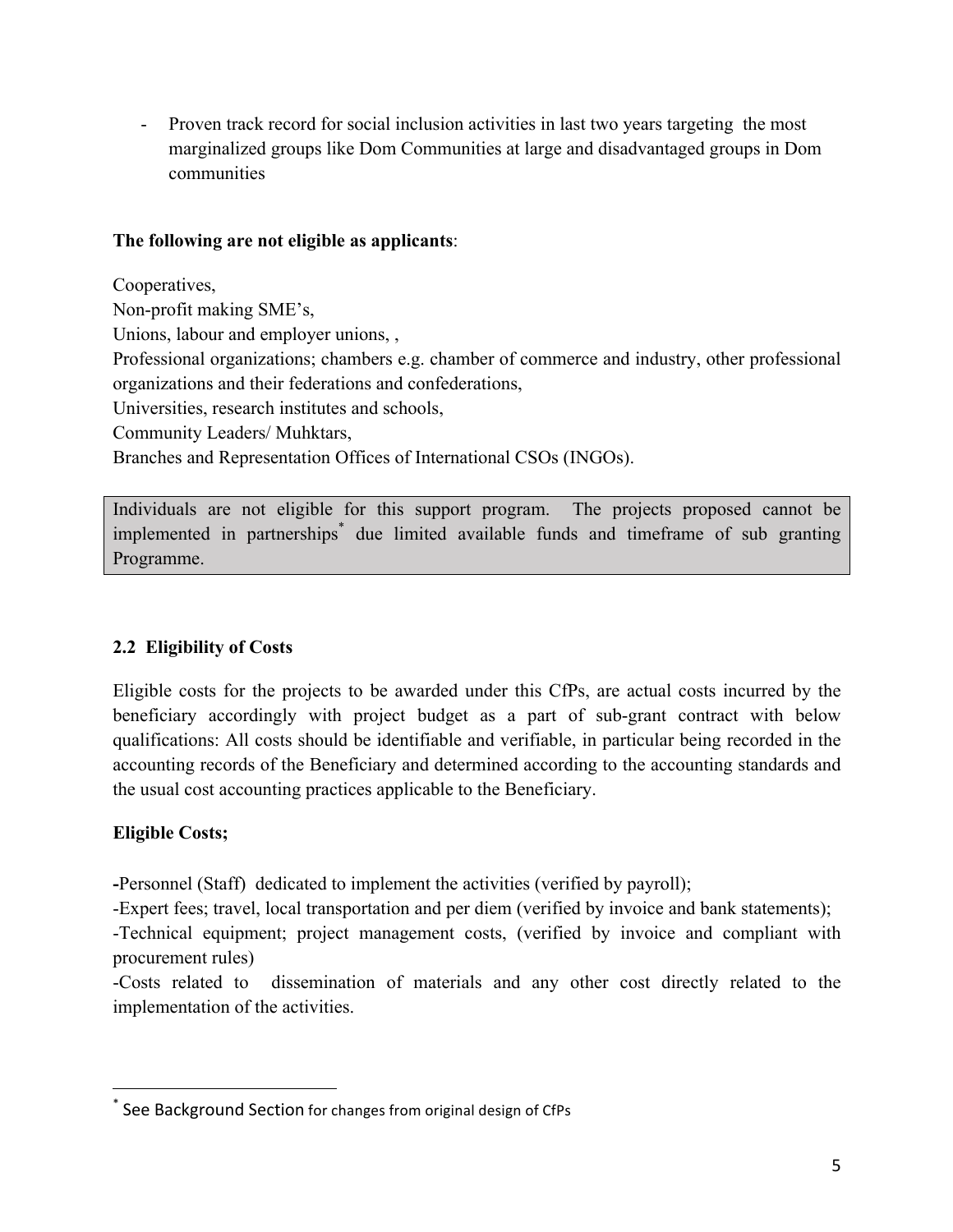- Proven track record for social inclusion activities in last two years targeting the most marginalized groups like Dom Communities at large and disadvantaged groups in Dom communities

#### **The following are not eligible as applicants**:

Cooperatives, Non-profit making SME's, Unions, labour and employer unions, , Professional organizations; chambers e.g. chamber of commerce and industry, other professional organizations and their federations and confederations, Universities, research institutes and schools, Community Leaders/ Muhktars, Branches and Representation Offices of International CSOs (INGOs).

Individuals are not eligible for this support program. The projects proposed cannot be implemented in partnerships\* due limited available funds and timeframe of sub granting Programme.

## **2.2 Eligibility of Costs**

Eligible costs for the projects to be awarded under this CfPs, are actual costs incurred by the beneficiary accordingly with project budget as a part of sub-grant contract with below qualifications: All costs should be identifiable and verifiable, in particular being recorded in the accounting records of the Beneficiary and determined according to the accounting standards and the usual cost accounting practices applicable to the Beneficiary.

## **Eligible Costs;**

 

**-**Personnel (Staff) dedicated to implement the activities (verified by payroll);

-Expert fees; travel, local transportation and per diem (verified by invoice and bank statements);

-Technical equipment; project management costs, (verified by invoice and compliant with procurement rules)

-Costs related to dissemination of materials and any other cost directly related to the implementation of the activities.

 $^*$  See Background Section for changes from original design of CfPs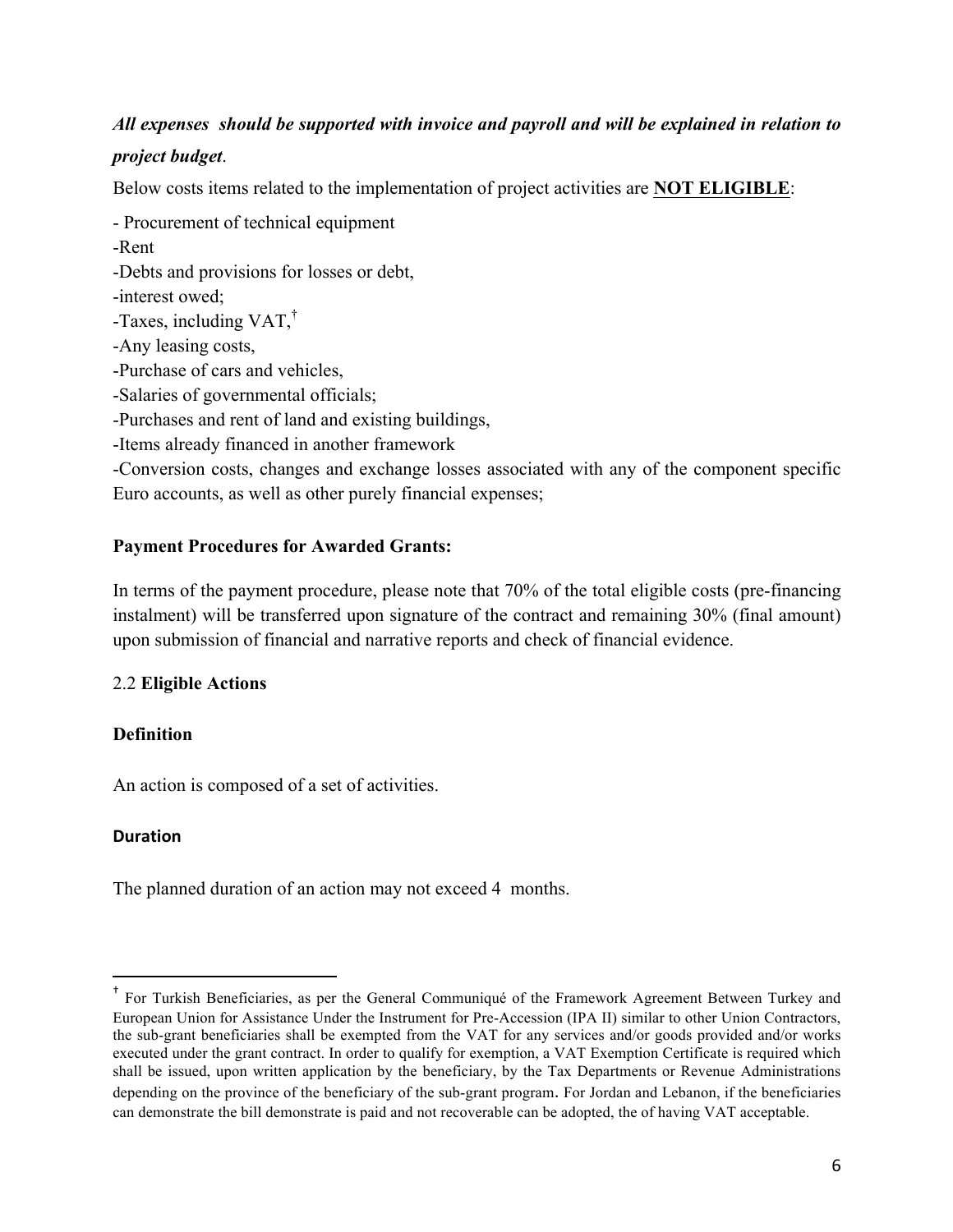## *All expenses should be supported with invoice and payroll and will be explained in relation to*

## *project budget*.

Below costs items related to the implementation of project activities are **NOT ELIGIBLE**:

- Procurement of technical equipment

-Rent

-Debts and provisions for losses or debt,

-interest owed;

-Taxes, including  $VAT$ ,<sup>†</sup>

-Any leasing costs,

-Purchase of cars and vehicles,

-Salaries of governmental officials;

-Purchases and rent of land and existing buildings,

-Items already financed in another framework

-Conversion costs, changes and exchange losses associated with any of the component specific Euro accounts, as well as other purely financial expenses;

## **Payment Procedures for Awarded Grants:**

In terms of the payment procedure, please note that 70% of the total eligible costs (pre-financing instalment) will be transferred upon signature of the contract and remaining 30% (final amount) upon submission of financial and narrative reports and check of financial evidence.

#### 2.2 **Eligible Actions**

#### **Definition**

An action is composed of a set of activities.

 

#### **Duration**

The planned duration of an action may not exceed 4 months.

<sup>†</sup> For Turkish Beneficiaries, as per the General Communiqué of the Framework Agreement Between Turkey and European Union for Assistance Under the Instrument for Pre-Accession (IPA II) similar to other Union Contractors, the sub-grant beneficiaries shall be exempted from the VAT for any services and/or goods provided and/or works executed under the grant contract. In order to qualify for exemption, a VAT Exemption Certificate is required which shall be issued, upon written application by the beneficiary, by the Tax Departments or Revenue Administrations depending on the province of the beneficiary of the sub-grant program. For Jordan and Lebanon, if the beneficiaries can demonstrate the bill demonstrate is paid and not recoverable can be adopted, the of having VAT acceptable.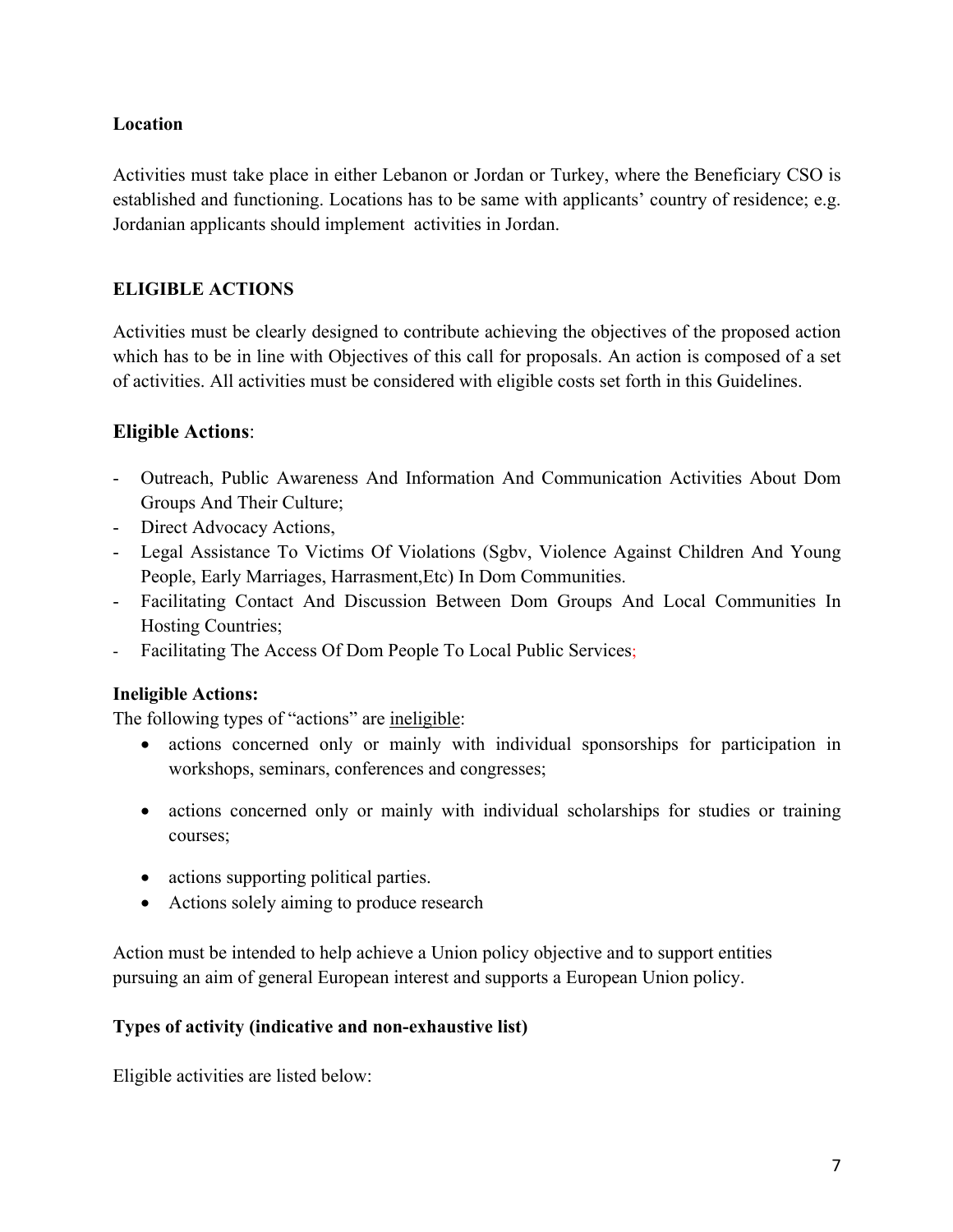## **Location**

Activities must take place in either Lebanon or Jordan or Turkey, where the Beneficiary CSO is established and functioning. Locations has to be same with applicants' country of residence; e.g. Jordanian applicants should implement activities in Jordan.

## **ELIGIBLE ACTIONS**

Activities must be clearly designed to contribute achieving the objectives of the proposed action which has to be in line with Objectives of this call for proposals. An action is composed of a set of activities. All activities must be considered with eligible costs set forth in this Guidelines.

## **Eligible Actions**:

- Outreach, Public Awareness And Information And Communication Activities About Dom Groups And Their Culture;
- Direct Advocacy Actions,
- Legal Assistance To Victims Of Violations (Sgbv, Violence Against Children And Young People, Early Marriages, Harrasment,Etc) In Dom Communities.
- Facilitating Contact And Discussion Between Dom Groups And Local Communities In Hosting Countries;
- Facilitating The Access Of Dom People To Local Public Services;

## **Ineligible Actions:**

The following types of "actions" are ineligible:

- actions concerned only or mainly with individual sponsorships for participation in workshops, seminars, conferences and congresses;
- actions concerned only or mainly with individual scholarships for studies or training courses;
- actions supporting political parties.
- Actions solely aiming to produce research

Action must be intended to help achieve a Union policy objective and to support entities pursuing an aim of general European interest and supports a European Union policy.

## **Types of activity (indicative and non-exhaustive list)**

Eligible activities are listed below: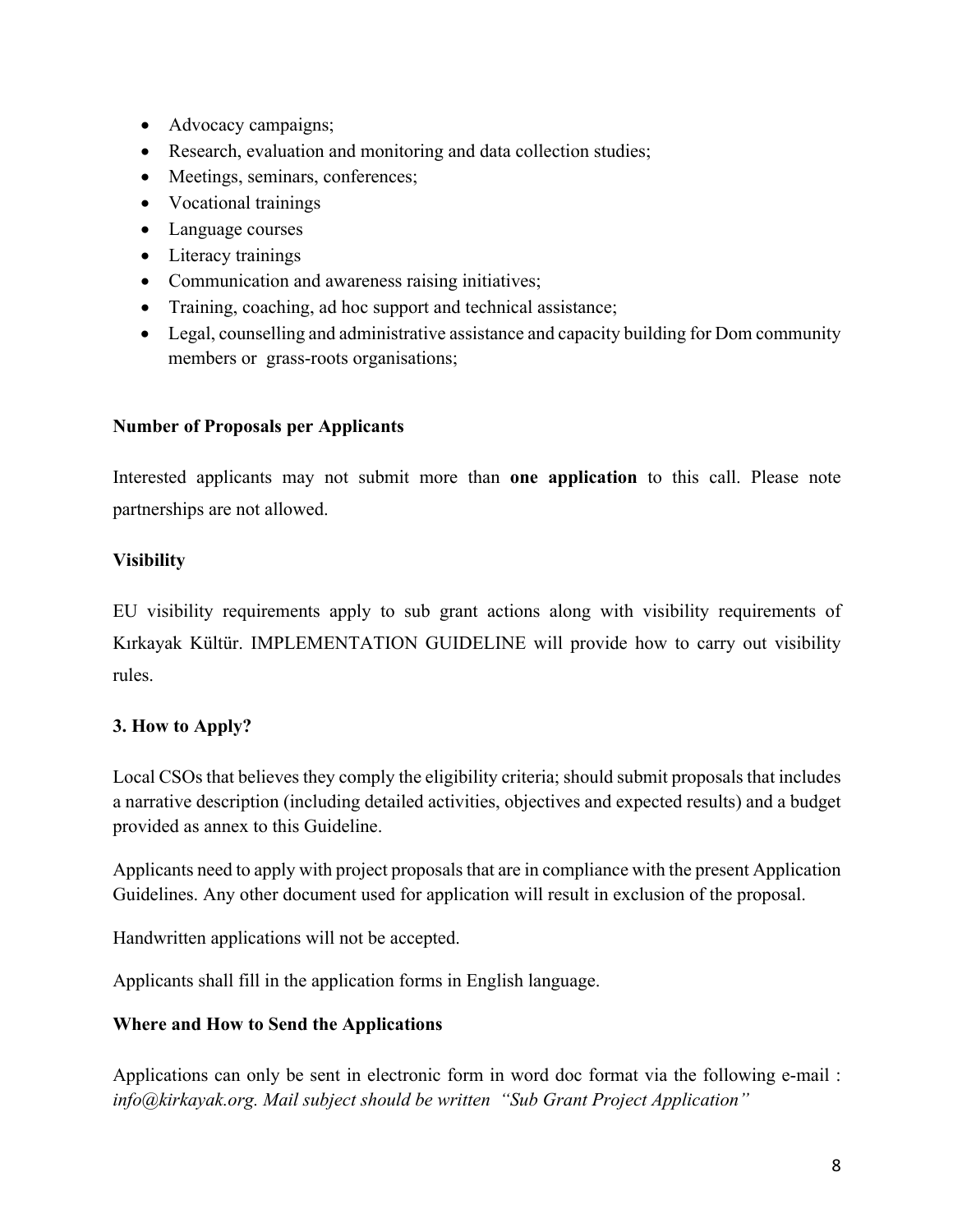- Advocacy campaigns;
- Research, evaluation and monitoring and data collection studies;
- Meetings, seminars, conferences;
- Vocational trainings
- Language courses
- Literacy trainings
- Communication and awareness raising initiatives;
- Training, coaching, ad hoc support and technical assistance;
- Legal, counselling and administrative assistance and capacity building for Dom community members or grass-roots organisations;

## **Number of Proposals per Applicants**

Interested applicants may not submit more than **one application** to this call. Please note partnerships are not allowed.

## **Visibility**

EU visibility requirements apply to sub grant actions along with visibility requirements of Kırkayak Kültür. IMPLEMENTATION GUIDELINE will provide how to carry out visibility rules.

## **3. How to Apply?**

Local CSOs that believes they comply the eligibility criteria; should submit proposals that includes a narrative description (including detailed activities, objectives and expected results) and a budget provided as annex to this Guideline.

Applicants need to apply with project proposals that are in compliance with the present Application Guidelines. Any other document used for application will result in exclusion of the proposal.

Handwritten applications will not be accepted.

Applicants shall fill in the application forms in English language.

## **Where and How to Send the Applications**

Applications can only be sent in electronic form in word doc format via the following e-mail : *info@kirkayak.org. Mail subject should be written "Sub Grant Project Application"*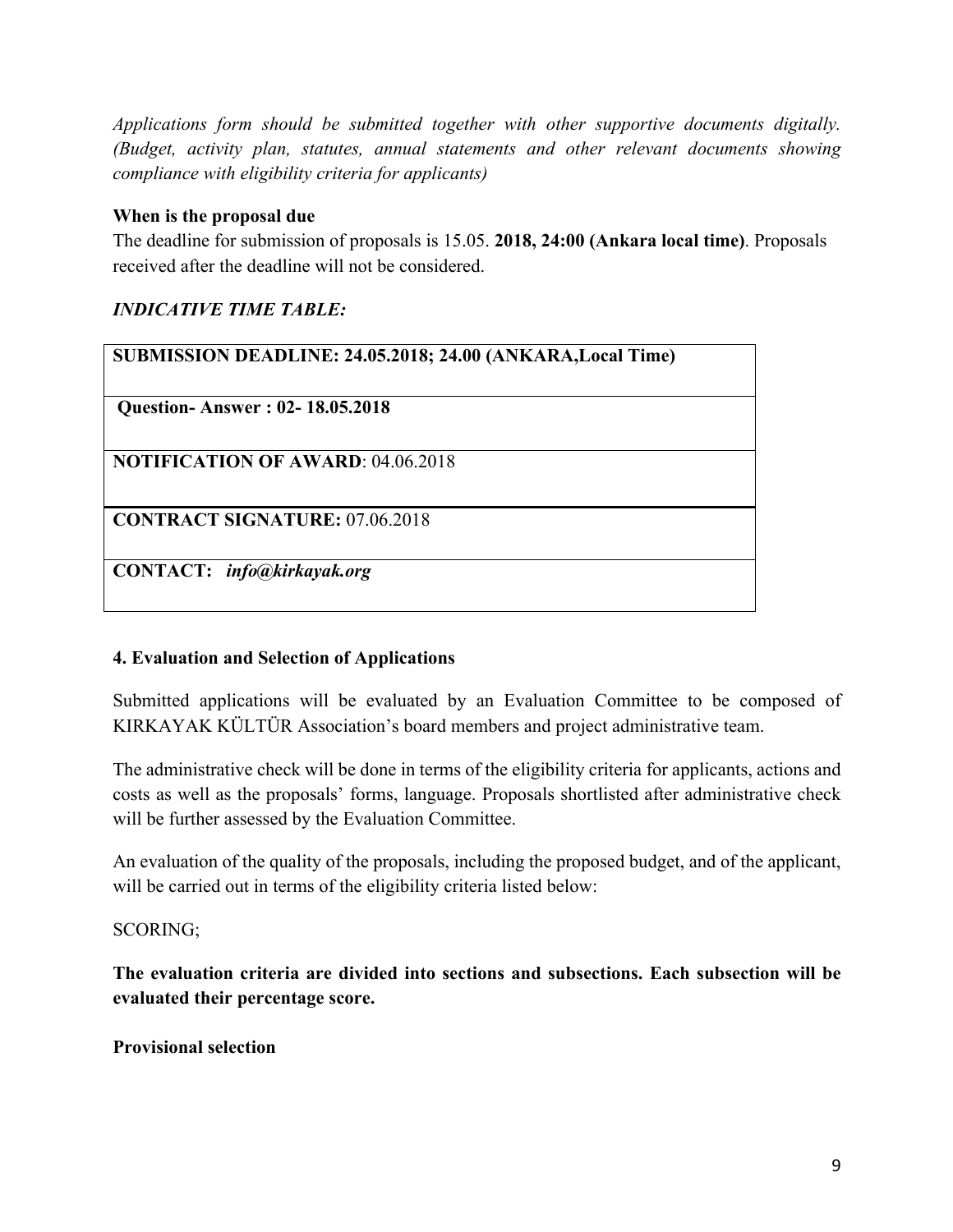*Applications form should be submitted together with other supportive documents digitally. (Budget, activity plan, statutes, annual statements and other relevant documents showing compliance with eligibility criteria for applicants)*

#### **When is the proposal due**

The deadline for submission of proposals is 15.05. **2018, 24:00 (Ankara local time)**. Proposals received after the deadline will not be considered.

## *INDICATIVE TIME TABLE:*

| SUBMISSION DEADLINE: 24.05.2018; 24.00 (ANKARA, Local Time) |
|-------------------------------------------------------------|
| <b>Question-Answer: 02-18.05.2018</b>                       |
| <b>NOTIFICATION OF AWARD: 04.06.2018</b>                    |
| <b>CONTRACT SIGNATURE: 07.06.2018</b>                       |
| CONTACT: info@kirkayak.org                                  |

## **4. Evaluation and Selection of Applications**

Submitted applications will be evaluated by an Evaluation Committee to be composed of KIRKAYAK KÜLTÜR Association's board members and project administrative team.

The administrative check will be done in terms of the eligibility criteria for applicants, actions and costs as well as the proposals' forms, language. Proposals shortlisted after administrative check will be further assessed by the Evaluation Committee.

An evaluation of the quality of the proposals, including the proposed budget, and of the applicant, will be carried out in terms of the eligibility criteria listed below:

#### SCORING;

**The evaluation criteria are divided into sections and subsections. Each subsection will be evaluated their percentage score.** 

#### **Provisional selection**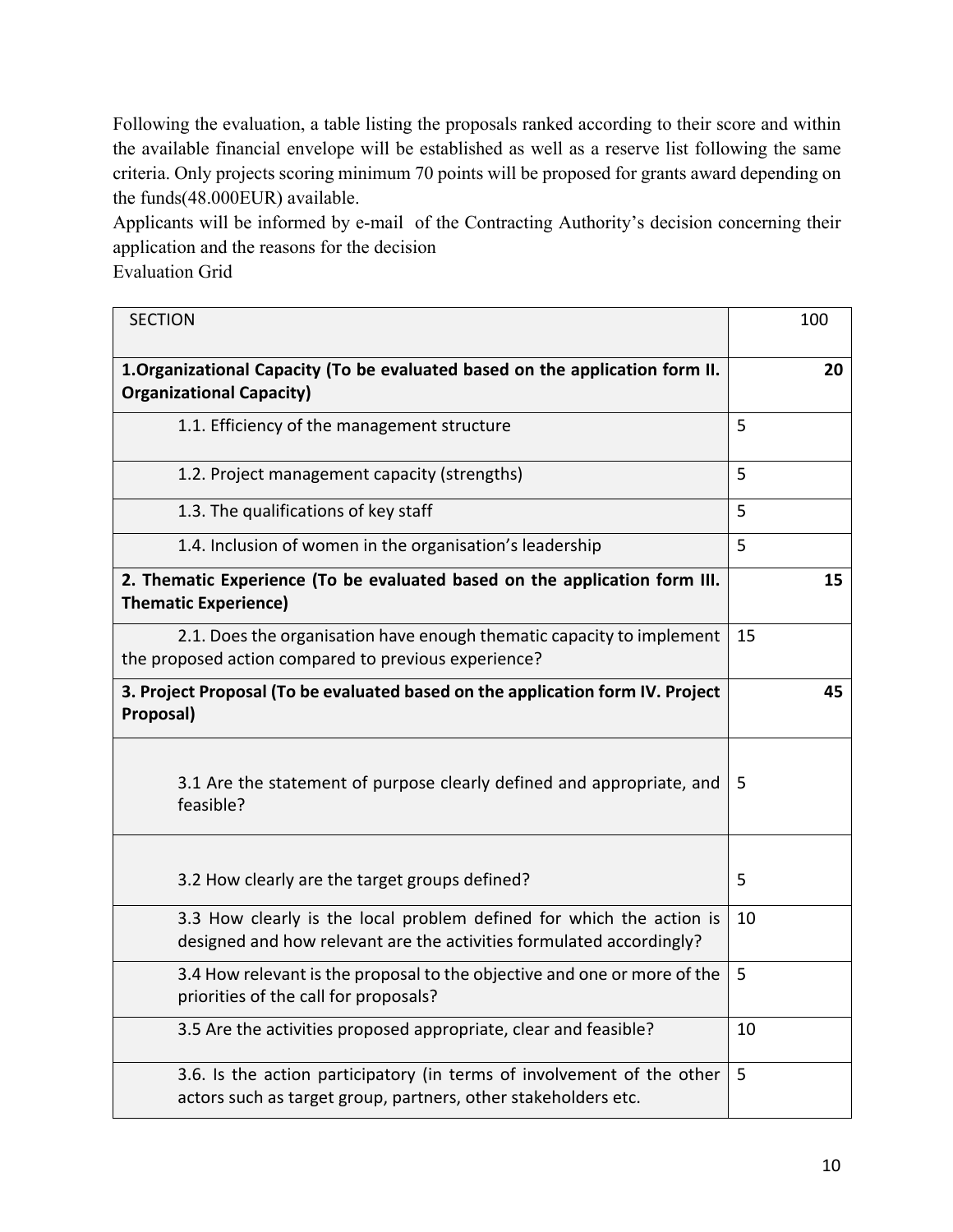Following the evaluation, a table listing the proposals ranked according to their score and within the available financial envelope will be established as well as a reserve list following the same criteria. Only projects scoring minimum 70 points will be proposed for grants award depending on the funds(48.000EUR) available.

Applicants will be informed by e-mail of the Contracting Authority's decision concerning their application and the reasons for the decision

Evaluation Grid

| <b>SECTION</b>                                                                                                                               | 100 |
|----------------------------------------------------------------------------------------------------------------------------------------------|-----|
| 1. Organizational Capacity (To be evaluated based on the application form II.<br><b>Organizational Capacity)</b>                             | 20  |
| 1.1. Efficiency of the management structure                                                                                                  | 5   |
| 1.2. Project management capacity (strengths)                                                                                                 | 5   |
| 1.3. The qualifications of key staff                                                                                                         | 5   |
| 1.4. Inclusion of women in the organisation's leadership                                                                                     | 5   |
| 2. Thematic Experience (To be evaluated based on the application form III.<br><b>Thematic Experience)</b>                                    | 15  |
| 2.1. Does the organisation have enough thematic capacity to implement<br>the proposed action compared to previous experience?                | 15  |
| 3. Project Proposal (To be evaluated based on the application form IV. Project<br>Proposal)                                                  | 45  |
| 3.1 Are the statement of purpose clearly defined and appropriate, and<br>feasible?                                                           | 5   |
| 3.2 How clearly are the target groups defined?                                                                                               | 5   |
| 3.3 How clearly is the local problem defined for which the action is<br>designed and how relevant are the activities formulated accordingly? | 10  |
| 3.4 How relevant is the proposal to the objective and one or more of the<br>priorities of the call for proposals?                            | 5   |
| 3.5 Are the activities proposed appropriate, clear and feasible?                                                                             | 10  |
| 3.6. Is the action participatory (in terms of involvement of the other<br>actors such as target group, partners, other stakeholders etc.     | 5   |